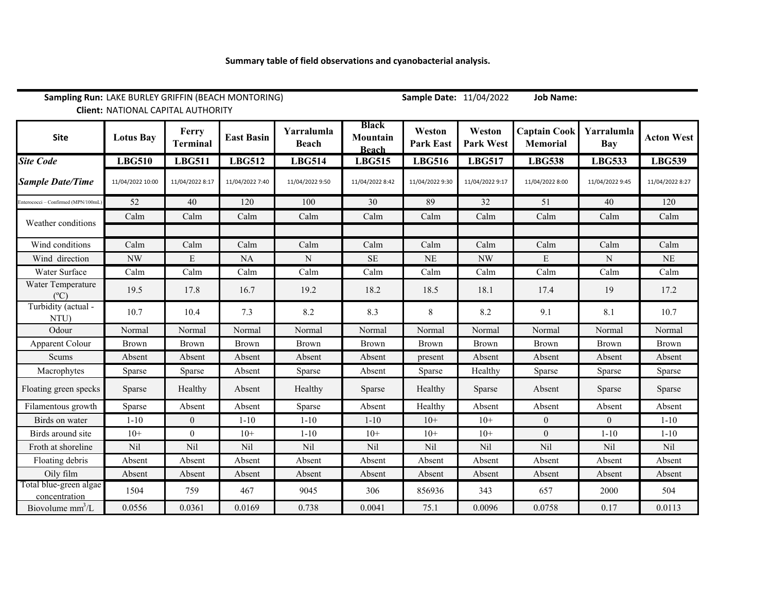| Sampling Run: LAKE BURLEY GRIFFIN (BEACH MONTORING)<br><b>Client: NATIONAL CAPITAL AUTHORITY</b> |                  |                          |                   |                            |                                          | Sample Date: 11/04/2022    |                            | <b>Job Name:</b>                       |                          |                   |
|--------------------------------------------------------------------------------------------------|------------------|--------------------------|-------------------|----------------------------|------------------------------------------|----------------------------|----------------------------|----------------------------------------|--------------------------|-------------------|
| <b>Site</b>                                                                                      | <b>Lotus Bay</b> | Ferry<br><b>Terminal</b> | <b>East Basin</b> | Yarralumla<br><b>Beach</b> | <b>Black</b><br>Mountain<br><b>Beach</b> | Weston<br><b>Park East</b> | Weston<br><b>Park West</b> | <b>Captain Cook</b><br><b>Memorial</b> | Yarralumla<br><b>Bay</b> | <b>Acton West</b> |
| <b>Site Code</b>                                                                                 | <b>LBG510</b>    | <b>LBG511</b>            | <b>LBG512</b>     | <b>LBG514</b>              | <b>LBG515</b>                            | <b>LBG516</b>              | <b>LBG517</b>              | <b>LBG538</b>                          | <b>LBG533</b>            | <b>LBG539</b>     |
| <b>Sample Date/Time</b>                                                                          | 11/04/2022 10:00 | 11/04/2022 8:17          | 11/04/2022 7:40   | 11/04/2022 9:50            | 11/04/2022 8:42                          | 11/04/2022 9:30            | 11/04/2022 9:17            | 11/04/2022 8:00                        | 11/04/2022 9:45          | 11/04/2022 8:27   |
| Enterococci - Confirmed (MPN/100mL                                                               | 52               | 40                       | 120               | 100                        | 30                                       | 89                         | 32                         | 51                                     | 40                       | 120               |
| Weather conditions                                                                               | Calm             | Calm                     | Calm              | Calm                       | Calm                                     | Calm                       | Calm                       | Calm                                   | Calm                     | Calm              |
|                                                                                                  |                  |                          |                   |                            |                                          |                            |                            |                                        |                          |                   |
| Wind conditions                                                                                  | Calm             | Calm                     | Calm              | Calm                       | Calm                                     | Calm                       | Calm                       | Calm                                   | Calm                     | Calm              |
| Wind direction                                                                                   | <b>NW</b>        | E                        | $\rm NA$          | $\mathbf N$                | <b>SE</b>                                | <b>NE</b>                  | <b>NW</b>                  | E                                      | ${\bf N}$                | $\rm NE$          |
| Water Surface                                                                                    | Calm             | Calm                     | Calm              | Calm                       | Calm                                     | Calm                       | Calm                       | Calm                                   | Calm                     | Calm              |
| Water Temperature<br>$(^{\circ}C)$                                                               | 19.5             | 17.8                     | 16.7              | 19.2                       | 18.2                                     | 18.5                       | 18.1                       | 17.4                                   | 19                       | 17.2              |
| Turbidity (actual -<br>NTU)                                                                      | 10.7             | 10.4                     | 7.3               | 8.2                        | 8.3                                      | $8\,$                      | 8.2                        | 9.1                                    | 8.1                      | 10.7              |
| Odour                                                                                            | Normal           | Normal                   | Normal            | Normal                     | Normal                                   | Normal                     | Normal                     | Normal                                 | Normal                   | Normal            |
| Apparent Colour                                                                                  | Brown            | Brown                    | Brown             | Brown                      | Brown                                    | <b>Brown</b>               | Brown                      | Brown                                  | <b>Brown</b>             | Brown             |
| Scums                                                                                            | Absent           | Absent                   | Absent            | Absent                     | Absent                                   | present                    | Absent                     | Absent                                 | Absent                   | Absent            |
| Macrophytes                                                                                      | Sparse           | Sparse                   | Absent            | Sparse                     | Absent                                   | Sparse                     | Healthy                    | Sparse                                 | Sparse                   | Sparse            |
| Floating green specks                                                                            | Sparse           | Healthy                  | Absent            | Healthy                    | Sparse                                   | Healthy                    | Sparse                     | Absent                                 | Sparse                   | Sparse            |
| Filamentous growth                                                                               | Sparse           | Absent                   | Absent            | Sparse                     | Absent                                   | Healthy                    | Absent                     | Absent                                 | Absent                   | Absent            |
| Birds on water                                                                                   | $1 - 10$         | $\boldsymbol{0}$         | $1 - 10$          | $1 - 10$                   | $1 - 10$                                 | $10+$                      | $10+$                      | $\boldsymbol{0}$                       | $\boldsymbol{0}$         | $1 - 10$          |
| Birds around site                                                                                | $10+$            | $\overline{0}$           | $10+$             | $1 - 10$                   | $10+$                                    | $10+$                      | $10+$                      | $\overline{0}$                         | $1 - 10$                 | $1 - 10$          |
| Froth at shoreline                                                                               | Nil              | Nil                      | Nil               | Nil                        | Nil                                      | Nil                        | Nil                        | Nil                                    | Nil                      | Nil               |
| Floating debris                                                                                  | Absent           | Absent                   | Absent            | Absent                     | Absent                                   | Absent                     | Absent                     | Absent                                 | Absent                   | Absent            |
| Oily film                                                                                        | Absent           | Absent                   | Absent            | Absent                     | Absent                                   | Absent                     | Absent                     | Absent                                 | Absent                   | Absent            |
| Total blue-green algae<br>concentration                                                          | 1504             | 759                      | 467               | 9045                       | 306                                      | 856936                     | 343                        | 657                                    | 2000                     | 504               |
| Biovolume $mm^3/L$                                                                               | 0.0556           | 0.0361                   | 0.0169            | 0.738                      | 0.0041                                   | 75.1                       | 0.0096                     | 0.0758                                 | 0.17                     | 0.0113            |

## **Summary table of field observations and cyanobacterial analysis.**